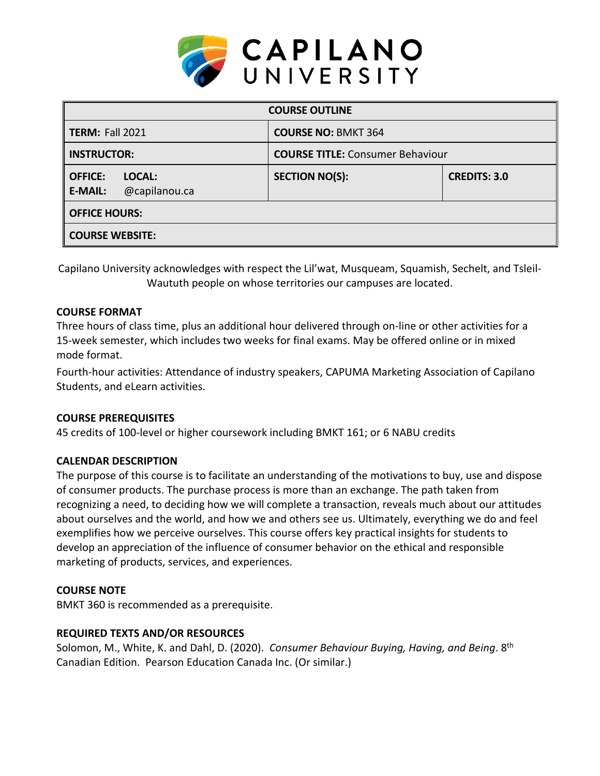

| <b>COURSE OUTLINE</b>                                       |                                         |                     |  |  |  |
|-------------------------------------------------------------|-----------------------------------------|---------------------|--|--|--|
| <b>TERM: Fall 2021</b>                                      | <b>COURSE NO: BMKT 364</b>              |                     |  |  |  |
| <b>INSTRUCTOR:</b>                                          | <b>COURSE TITLE: Consumer Behaviour</b> |                     |  |  |  |
| <b>OFFICE:</b><br>LOCAL:<br><b>E-MAIL:</b><br>@capilanou.ca | <b>SECTION NO(S):</b>                   | <b>CREDITS: 3.0</b> |  |  |  |
| <b>OFFICE HOURS:</b>                                        |                                         |                     |  |  |  |
| <b>COURSE WEBSITE:</b>                                      |                                         |                     |  |  |  |

Capilano University acknowledges with respect the Lil'wat, Musqueam, Squamish, Sechelt, and Tsleil-Waututh people on whose territories our campuses are located.

## **COURSE FORMAT**

Three hours of class time, plus an additional hour delivered through on-line or other activities for a 15-week semester, which includes two weeks for final exams. May be offered online or in mixed mode format.

Fourth-hour activities: Attendance of industry speakers, CAPUMA Marketing Association of Capilano Students, and eLearn activities.

# **COURSE PREREQUISITES**

45 credits of 100-level or higher coursework including BMKT 161; or 6 NABU credits

# **CALENDAR DESCRIPTION**

The purpose of this course is to facilitate an understanding of the motivations to buy, use and dispose of consumer products. The purchase process is more than an exchange. The path taken from recognizing a need, to deciding how we will complete a transaction, reveals much about our attitudes about ourselves and the world, and how we and others see us. Ultimately, everything we do and feel exemplifies how we perceive ourselves. This course offers key practical insights for students to develop an appreciation of the influence of consumer behavior on the ethical and responsible marketing of products, services, and experiences.

### **COURSE NOTE**

BMKT 360 is recommended as a prerequisite.

# **REQUIRED TEXTS AND/OR RESOURCES**

Solomon, M., White, K. and Dahl, D. (2020). *Consumer Behaviour Buying, Having, and Being*. 8th Canadian Edition. Pearson Education Canada Inc. (Or similar.)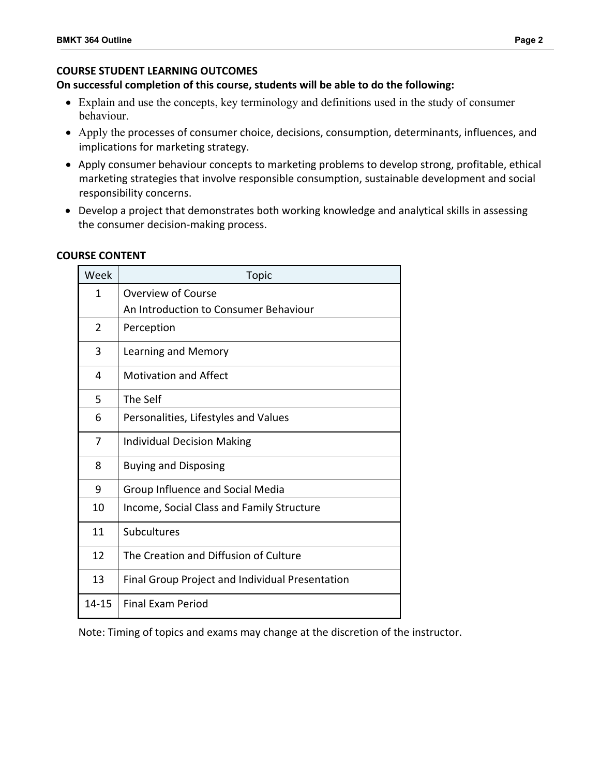# **COURSE STUDENT LEARNING OUTCOMES**

# **On successful completion of this course, students will be able to do the following:**

- Explain and use the concepts, key terminology and definitions used in the study of consumer behaviour.
- Apply the processes of consumer choice, decisions, consumption, determinants, influences, and implications for marketing strategy.
- Apply consumer behaviour concepts to marketing problems to develop strong, profitable, ethical marketing strategies that involve responsible consumption, sustainable development and social responsibility concerns.
- Develop a project that demonstrates both working knowledge and analytical skills in assessing the consumer decision-making process.

# **COURSE CONTENT**

| Week         | <b>Topic</b>                                    |  |  |
|--------------|-------------------------------------------------|--|--|
| $\mathbf{1}$ | Overview of Course                              |  |  |
|              | An Introduction to Consumer Behaviour           |  |  |
| 2            | Perception                                      |  |  |
| 3            | Learning and Memory                             |  |  |
| 4            | <b>Motivation and Affect</b>                    |  |  |
| 5            | The Self                                        |  |  |
| 6            | Personalities, Lifestyles and Values            |  |  |
| 7            | <b>Individual Decision Making</b>               |  |  |
| 8            | <b>Buying and Disposing</b>                     |  |  |
| 9            | Group Influence and Social Media                |  |  |
| 10           | Income, Social Class and Family Structure       |  |  |
| 11           | Subcultures                                     |  |  |
| 12           | The Creation and Diffusion of Culture           |  |  |
| 13           | Final Group Project and Individual Presentation |  |  |
| 14-15        | Final Exam Period                               |  |  |

Note: Timing of topics and exams may change at the discretion of the instructor.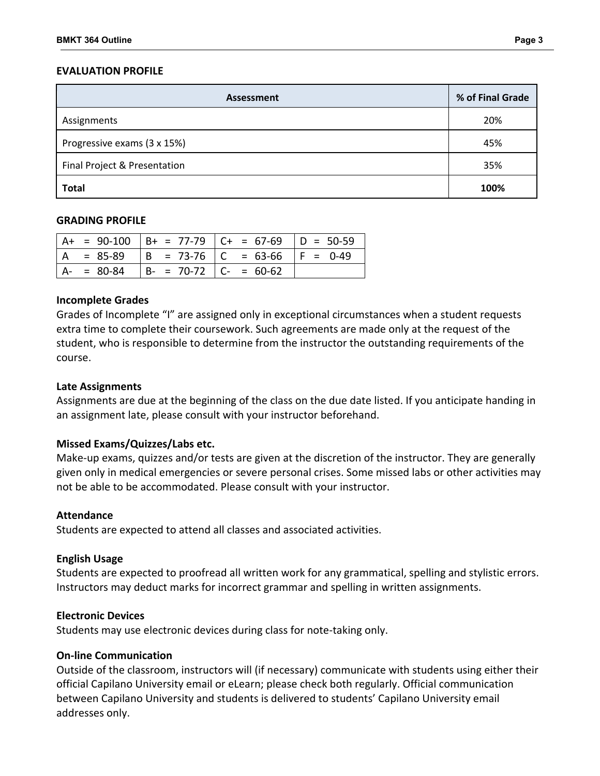# **EVALUATION PROFILE**

| <b>Assessment</b>            | % of Final Grade |
|------------------------------|------------------|
| Assignments                  | 20%              |
| Progressive exams (3 x 15%)  | 45%              |
| Final Project & Presentation | 35%              |
| <b>Total</b>                 | 100%             |

### **GRADING PROFILE**

|  |                                           | $A+ = 90-100$ $B+ = 77-79$ $C+ = 67-69$ $D = 50-59$ |  |
|--|-------------------------------------------|-----------------------------------------------------|--|
|  |                                           | $ A = 85-89$ $ B = 73-76$ $ C = 63-66$ $ F = 0-49$  |  |
|  | $ A- = 80-84$ $ B- = 70-72$ $ C- = 60-62$ |                                                     |  |

#### **Incomplete Grades**

Grades of Incomplete "I" are assigned only in exceptional circumstances when a student requests extra time to complete their coursework. Such agreements are made only at the request of the student, who is responsible to determine from the instructor the outstanding requirements of the course.

### **Late Assignments**

Assignments are due at the beginning of the class on the due date listed. If you anticipate handing in an assignment late, please consult with your instructor beforehand.

### **Missed Exams/Quizzes/Labs etc.**

Make-up exams, quizzes and/or tests are given at the discretion of the instructor. They are generally given only in medical emergencies or severe personal crises. Some missed labs or other activities may not be able to be accommodated. Please consult with your instructor.

### **Attendance**

Students are expected to attend all classes and associated activities.

#### **English Usage**

Students are expected to proofread all written work for any grammatical, spelling and stylistic errors. Instructors may deduct marks for incorrect grammar and spelling in written assignments.

#### **Electronic Devices**

Students may use electronic devices during class for note-taking only.

#### **On-line Communication**

Outside of the classroom, instructors will (if necessary) communicate with students using either their official Capilano University email or eLearn; please check both regularly. Official communication between Capilano University and students is delivered to students' Capilano University email addresses only.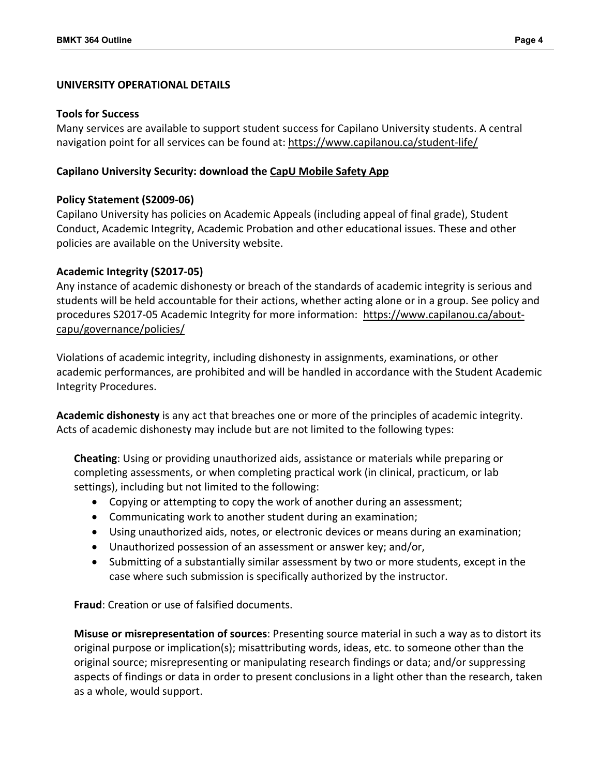## **UNIVERSITY OPERATIONAL DETAILS**

### **Tools for Success**

Many services are available to support student success for Capilano University students. A central navigation point for all services can be found at:<https://www.capilanou.ca/student-life/>

## **Capilano University Security: download the [CapU Mobile Safety App](https://www.capilanou.ca/student-life/support--wellness/safety--security/capu-safe-app/)**

## **Policy Statement (S2009-06)**

Capilano University has policies on Academic Appeals (including appeal of final grade), Student Conduct, Academic Integrity, Academic Probation and other educational issues. These and other policies are available on the University website.

## **Academic Integrity (S2017-05)**

Any instance of academic dishonesty or breach of the standards of academic integrity is serious and students will be held accountable for their actions, whether acting alone or in a group. See policy and procedures S2017-05 Academic Integrity for more information: [https://www.capilanou.ca/about](https://www.capilanou.ca/about-capu/governance/policies/)[capu/governance/policies/](https://www.capilanou.ca/about-capu/governance/policies/)

Violations of academic integrity, including dishonesty in assignments, examinations, or other academic performances, are prohibited and will be handled in accordance with the Student Academic Integrity Procedures.

**Academic dishonesty** is any act that breaches one or more of the principles of academic integrity. Acts of academic dishonesty may include but are not limited to the following types:

**Cheating**: Using or providing unauthorized aids, assistance or materials while preparing or completing assessments, or when completing practical work (in clinical, practicum, or lab settings), including but not limited to the following:

- Copying or attempting to copy the work of another during an assessment;
- Communicating work to another student during an examination;
- Using unauthorized aids, notes, or electronic devices or means during an examination;
- Unauthorized possession of an assessment or answer key; and/or,
- Submitting of a substantially similar assessment by two or more students, except in the case where such submission is specifically authorized by the instructor.

**Fraud**: Creation or use of falsified documents.

**Misuse or misrepresentation of sources**: Presenting source material in such a way as to distort its original purpose or implication(s); misattributing words, ideas, etc. to someone other than the original source; misrepresenting or manipulating research findings or data; and/or suppressing aspects of findings or data in order to present conclusions in a light other than the research, taken as a whole, would support.